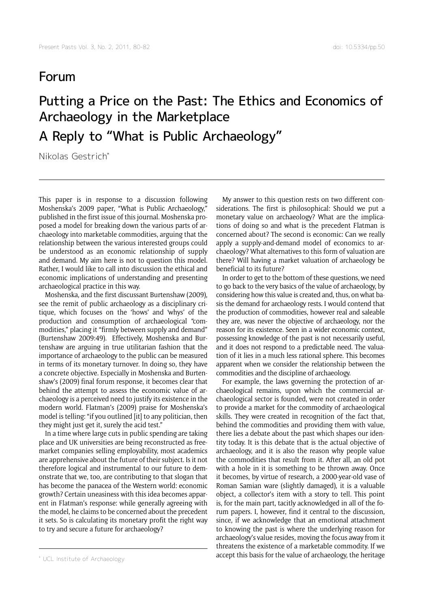## Forum

## Putting a Price on the Past: The Ethics and Economics of Archaeology in the Marketplace A Reply to "What is Public Archaeology"

Nikolas Gestrich\*

This paper is in response to a discussion following Moshenska's 2009 paper, "What is Public Archaeology," published in the first issue of this journal. Moshenska proposed a model for breaking down the various parts of archaeology into marketable commodities, arguing that the relationship between the various interested groups could be understood as an economic relationship of supply and demand. My aim here is not to question this model. Rather, I would like to call into discussion the ethical and economic implications of understanding and presenting archaeological practice in this way.

Moshenska, and the first discussant Burtenshaw (2009), see the remit of public archaeology as a disciplinary critique, which focuses on the 'hows' and 'whys' of the production and consumption of archaeological "commodities," placing it "firmly between supply and demand" (Burtenshaw 2009:49). Effectively, Moshenska and Burtenshaw are arguing in true utilitarian fashion that the importance of archaeology to the public can be measured in terms of its monetary turnover. In doing so, they have a concrete objective. Especially in Moshenska and Burtenshaw's (2009) final forum response, it becomes clear that behind the attempt to assess the economic value of archaeology is a perceived need to justify its existence in the modern world. Flatman's (2009) praise for Moshenska's model is telling: "if you outlined [it] to any politician, then they might just get it, surely the acid test."

In a time where large cuts in public spending are taking place and UK universities are being reconstructed as freemarket companies selling employability, most academics are apprehensive about the future of their subject. Is it not therefore logical and instrumental to our future to demonstrate that we, too, are contributing to that slogan that has become the panacea of the Western world: economic growth? Certain uneasiness with this idea becomes apparent in Flatman's response: while generally agreeing with the model, he claims to be concerned about the precedent it sets. So is calculating its monetary profit the right way to try and secure a future for archaeology?

My answer to this question rests on two different considerations. The first is philosophical: Should we put a monetary value on archaeology? What are the implications of doing so and what is the precedent Flatman is concerned about? The second is economic: Can we really apply a supply-and-demand model of economics to archaeology? What alternatives to this form of valuation are there? Will having a market valuation of archaeology be beneficial to its future?

In order to get to the bottom of these questions, we need to go back to the very basics of the value of archaeology, by considering how this value is created and, thus, on what basis the demand for archaeology rests. I would contend that the production of commodities, however real and saleable they are, was never the objective of archaeology, nor the reason for its existence. Seen in a wider economic context, possessing knowledge of the past is not necessarily useful, and it does not respond to a predictable need. The valuation of it lies in a much less rational sphere. This becomes apparent when we consider the relationship between the commodities and the discipline of archaeology.

For example, the laws governing the protection of archaeological remains, upon which the commercial archaeological sector is founded, were not created in order to provide a market for the commodity of archaeological skills. They were created in recognition of the fact that, behind the commodities and providing them with value, there lies a debate about the past which shapes our identity today. It is this debate that is the actual objective of archaeology, and it is also the reason why people value the commodities that result from it. After all, an old pot with a hole in it is something to be thrown away. Once it becomes, by virtue of research, a 2000-year-old vase of Roman Samian ware (slightly damaged), it is a valuable object, a collector's item with a story to tell. This point is, for the main part, tacitly acknowledged in all of the forum papers. I, however, find it central to the discussion, since, if we acknowledge that an emotional attachment to knowing the past is where the underlying reason for archaeology's value resides, moving the focus away from it threatens the existence of a marketable commodity. If we accept this basis for the value of archaeology, the heritage

<sup>\*</sup> UCL Institute of Archaeology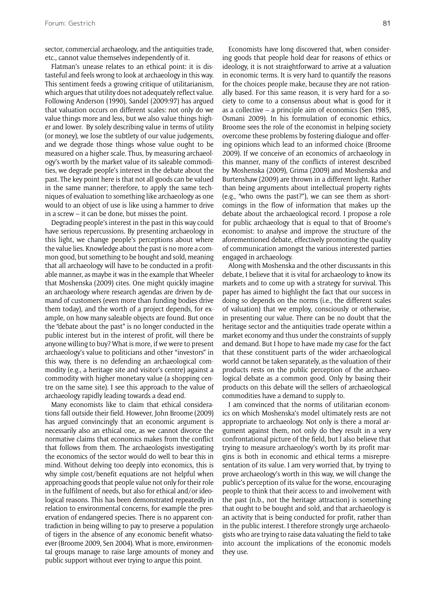sector, commercial archaeology, and the antiquities trade, etc., cannot value themselves independently of it.

Flatman's unease relates to an ethical point: it is distasteful and feels wrong to look at archaeology in this way. This sentiment feeds a growing critique of utilitarianism, which argues that utility does not adequately reflect value. Following Anderson (1990), Sandel (2009:97) has argued that valuation occurs on different scales: not only do we value things more and less, but we also value things higher and lower. By solely describing value in terms of utility (or money), we lose the subtlety of our value judgements, and we degrade those things whose value ought to be measured on a higher scale. Thus, by measuring archaeology's worth by the market value of its saleable commodities, we degrade people's interest in the debate about the past. The key point here is that not all goods can be valued in the same manner; therefore, to apply the same techniques of evaluation to something like archaeology as one would to an object of use is like using a hammer to drive in a screw – it can be done, but misses the point.

Degrading people's interest in the past in this way could have serious repercussions. By presenting archaeology in this light, we change people's perceptions about where the value lies. Knowledge about the past is no more a common good, but something to be bought and sold, meaning that all archaeology will have to be conducted in a profitable manner, as maybe it was in the example that Wheeler that Moshenska (2009) cites. One might quickly imagine an archaeology where research agendas are driven by demand of customers (even more than funding bodies drive them today), and the worth of a project depends, for example, on how many saleable objects are found. But once the "debate about the past" is no longer conducted in the public interest but in the interest of profit, will there be anyone willing to buy? What is more, if we were to present archaeology's value to politicians and other "investors" in this way, there is no defending an archaeological commodity (e.g., a heritage site and visitor's centre) against a commodity with higher monetary value (a shopping centre on the same site). I see this approach to the value of archaeology rapidly leading towards a dead end.

Many economists like to claim that ethical considerations fall outside their field. However, John Broome (2009) has argued convincingly that an economic argument is necessarily also an ethical one, as we cannot divorce the normative claims that economics makes from the conflict that follows from them. The archaeologists investigating the economics of the sector would do well to bear this in mind. Without delving too deeply into economics, this is why simple cost/benefit equations are not helpful when approaching goods that people value not only for their role in the fulfilment of needs, but also for ethical and/or ideological reasons. This has been demonstrated repeatedly in relation to environmental concerns, for example the preservation of endangered species. There is no apparent contradiction in being willing to pay to preserve a population of tigers in the absence of any economic benefit whatsoever (Broome 2009, Sen 2004). What is more, environmental groups manage to raise large amounts of money and public support without ever trying to argue this point.

Economists have long discovered that, when considering goods that people hold dear for reasons of ethics or ideology, it is not straightforward to arrive at a valuation in economic terms. It is very hard to quantify the reasons for the choices people make, because they are not rationally based. For this same reason, it is very hard for a society to come to a consensus about what is good for it as a collective – a principle aim of economics (Sen 1985, Osmani 2009). In his formulation of economic ethics, Broome sees the role of the economist in helping society overcome these problems by fostering dialogue and offering opinions which lead to an informed choice (Broome 2009). If we conceive of an economics of archaeology in this manner, many of the conflicts of interest described by Moshenska (2009), Grima (2009) and Moshenska and Burtenshaw (2009) are thrown in a different light. Rather than being arguments about intellectual property rights (e.g., "who owns the past?"), we can see them as shortcomings in the flow of information that makes up the debate about the archaeological record. I propose a role for public archaeology that is equal to that of Broome's economist: to analyse and improve the structure of the aforementioned debate, effectively promoting the quality of communication amongst the various interested parties engaged in archaeology.

Along with Moshenska and the other discussants in this debate, I believe that it is vital for archaeology to know its markets and to come up with a strategy for survival. This paper has aimed to highlight the fact that our success in doing so depends on the norms (i.e., the different scales of valuation) that we employ, consciously or otherwise, in presenting our value. There can be no doubt that the heritage sector and the antiquities trade operate within a market economy and thus under the constraints of supply and demand. But I hope to have made my case for the fact that these constituent parts of the wider archaeological world cannot be taken separately, as the valuation of their products rests on the public perception of the archaeological debate as a common good. Only by basing their products on this debate will the sellers of archaeological commodities have a demand to supply to.

I am convinced that the norms of utilitarian economics on which Moshenska's model ultimately rests are not appropriate to archaeology. Not only is there a moral argument against them, not only do they result in a very confrontational picture of the field, but I also believe that trying to measure archaeology's worth by its profit margins is both in economic and ethical terms a misrepresentation of its value. I am very worried that, by trying to prove archaeology's worth in this way, we will change the public's perception of its value for the worse, encouraging people to think that their access to and involvement with the past (n.b., not the heritage attraction) is something that ought to be bought and sold, and that archaeology is an activity that is being conducted for profit, rather than in the public interest. I therefore strongly urge archaeologists who are trying to raise data valuating the field to take into account the implications of the economic models they use.